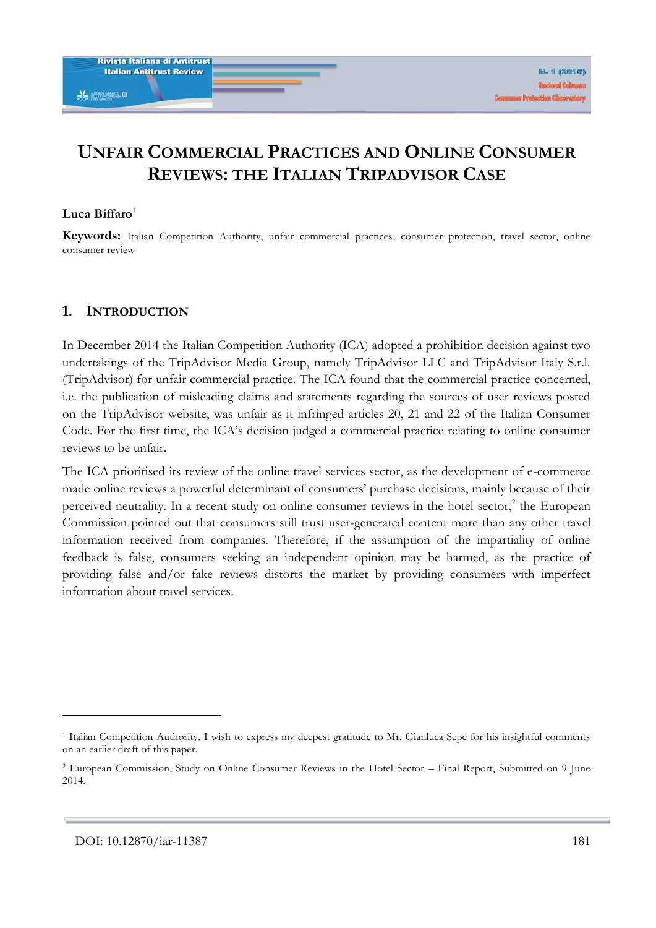# **UNFAIR COMMERCIAL PRACTICES AND ONLINE CONSUMER REVIEWS: THE ITALIAN TRIPADVISOR CASE**

#### **Luca Biffaro**<sup>1</sup>

**Keywords:** Italian Competition Authority, unfair commercial practices, consumer protection, travel sector, online consumer review

#### **1. INTRODUCTION**

In December 2014 the Italian Competition Authority (ICA) adopted a prohibition decision against two undertakings of the TripAdvisor Media Group, namely TripAdvisor LLC and TripAdvisor Italy S.r.l. (TripAdvisor) for unfair commercial practice. The ICA found that the commercial practice concerned, i.e. the publication of misleading claims and statements regarding the sources of user reviews posted on the TripAdvisor website, was unfair as it infringed articles 20, 21 and 22 of the Italian Consumer Code. For the first time, the ICA's decision judged a commercial practice relating to online consumer reviews to be unfair.

The ICA prioritised its review of the online travel services sector, as the development of e-commerce made online reviews a powerful determinant of consumers' purchase decisions, mainly because of their perceived neutrality. In a recent study on online consumer reviews in the hotel sector,<sup>2</sup> the European Commission pointed out that consumers still trust user-generated content more than any other travel information received from companies. Therefore, if the assumption of the impartiality of online feedback is false, consumers seeking an independent opinion may be harmed, as the practice of providing false and/or fake reviews distorts the market by providing consumers with imperfect information about travel services.

<sup>1</sup> Italian Competition Authority. I wish to express my deepest gratitude to Mr. Gianluca Sepe for his insightful comments on an earlier draft of this paper.

<sup>2</sup> European Commission, Study on Online Consumer Reviews in the Hotel Sector – Final Report, Submitted on 9 June 2014.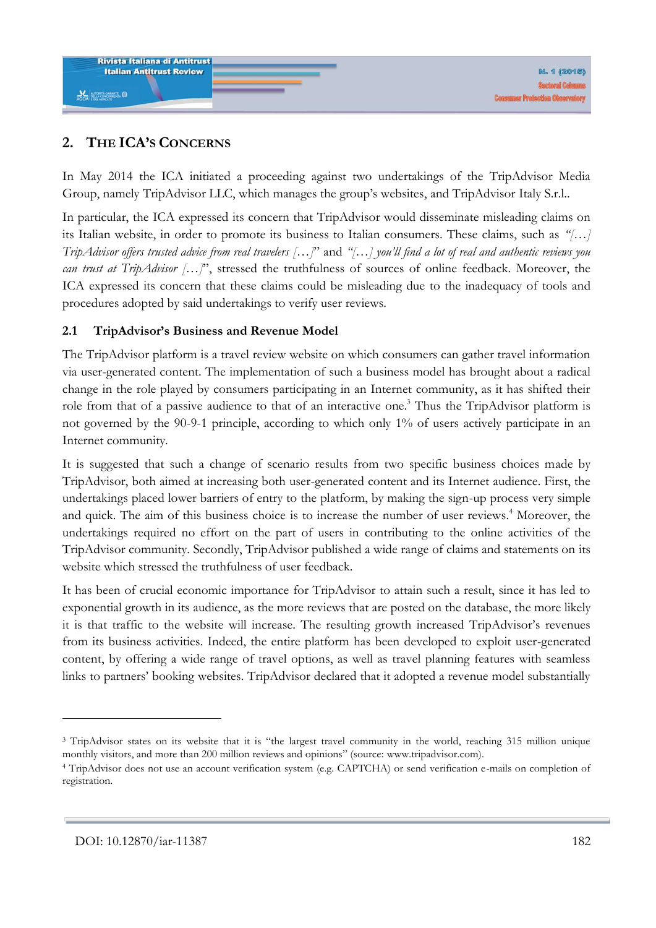

## **2. THE ICA'S CONCERNS**

In May 2014 the ICA initiated a proceeding against two undertakings of the TripAdvisor Media Group, namely TripAdvisor LLC, which manages the group's websites, and TripAdvisor Italy S.r.l..

In particular, the ICA expressed its concern that TripAdvisor would disseminate misleading claims on its Italian website, in order to promote its business to Italian consumers. These claims, such as *"[…] TripAdvisor offers trusted advice from real travelers […]*" and *"[…] you'll find a lot of real and authentic reviews you can trust at TripAdvisor […]*", stressed the truthfulness of sources of online feedback. Moreover, the ICA expressed its concern that these claims could be misleading due to the inadequacy of tools and procedures adopted by said undertakings to verify user reviews.

### **2.1 TripAdvisor's Business and Revenue Model**

The TripAdvisor platform is a travel review website on which consumers can gather travel information via user-generated content. The implementation of such a business model has brought about a radical change in the role played by consumers participating in an Internet community, as it has shifted their role from that of a passive audience to that of an interactive one.<sup>3</sup> Thus the TripAdvisor platform is not governed by the 90-9-1 principle, according to which only 1% of users actively participate in an Internet community.

It is suggested that such a change of scenario results from two specific business choices made by TripAdvisor, both aimed at increasing both user-generated content and its Internet audience. First, the undertakings placed lower barriers of entry to the platform, by making the sign-up process very simple and quick. The aim of this business choice is to increase the number of user reviews. <sup>4</sup> Moreover, the undertakings required no effort on the part of users in contributing to the online activities of the TripAdvisor community. Secondly, TripAdvisor published a wide range of claims and statements on its website which stressed the truthfulness of user feedback.

It has been of crucial economic importance for TripAdvisor to attain such a result, since it has led to exponential growth in its audience, as the more reviews that are posted on the database, the more likely it is that traffic to the website will increase. The resulting growth increased TripAdvisor's revenues from its business activities. Indeed, the entire platform has been developed to exploit user-generated content, by offering a wide range of travel options, as well as travel planning features with seamless links to partners' booking websites. TripAdvisor declared that it adopted a revenue model substantially

<sup>&</sup>lt;sup>3</sup> TripAdvisor states on its website that it is "the largest travel community in the world, reaching 315 million unique monthly visitors, and more than 200 million reviews and opinions" (source: [www.tripadvisor.com\)](http://www.tripadvisor.com/).

<sup>4</sup> TripAdvisor does not use an account verification system (e.g. CAPTCHA) or send verification e-mails on completion of registration.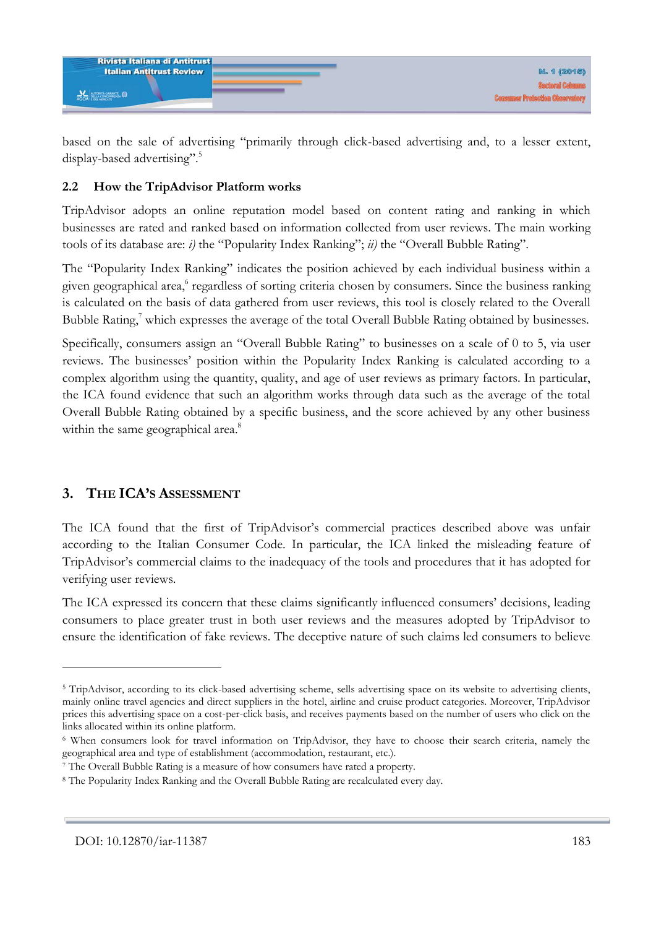| <b>Rivista Italiana di Antitrust</b> |                                                                |
|--------------------------------------|----------------------------------------------------------------|
| <b>Italian Antitrust Review</b>      | <b>N. 1 (2015)</b>                                             |
| AGCM E DEL MUSICATO                  | <b>Sectoral Cove</b><br><b>Consumer Protection Observatory</b> |
|                                      |                                                                |

based on the sale of advertising "primarily through click-based advertising and, to a lesser extent, display-based advertising".<sup>5</sup>

#### **2.2 How the TripAdvisor Platform works**

TripAdvisor adopts an online reputation model based on content rating and ranking in which businesses are rated and ranked based on information collected from user reviews. The main working tools of its database are: *i)* the "Popularity Index Ranking"; *ii)* the "Overall Bubble Rating".

The "Popularity Index Ranking" indicates the position achieved by each individual business within a given geographical area,<sup>6</sup> regardless of sorting criteria chosen by consumers. Since the business ranking is calculated on the basis of data gathered from user reviews, this tool is closely related to the Overall Bubble Rating,<sup>7</sup> which expresses the average of the total Overall Bubble Rating obtained by businesses.

Specifically, consumers assign an "Overall Bubble Rating" to businesses on a scale of 0 to 5, via user reviews. The businesses' position within the Popularity Index Ranking is calculated according to a complex algorithm using the quantity, quality, and age of user reviews as primary factors. In particular, the ICA found evidence that such an algorithm works through data such as the average of the total Overall Bubble Rating obtained by a specific business, and the score achieved by any other business within the same geographical area.<sup>8</sup>

## **3. THE ICA'S ASSESSMENT**

The ICA found that the first of TripAdvisor's commercial practices described above was unfair according to the Italian Consumer Code. In particular, the ICA linked the misleading feature of TripAdvisor's commercial claims to the inadequacy of the tools and procedures that it has adopted for verifying user reviews.

The ICA expressed its concern that these claims significantly influenced consumers' decisions, leading consumers to place greater trust in both user reviews and the measures adopted by TripAdvisor to ensure the identification of fake reviews. The deceptive nature of such claims led consumers to believe

<sup>&</sup>lt;sup>5</sup> TripAdvisor, according to its click-based advertising scheme, sells advertising space on its website to advertising clients, mainly online travel agencies and direct suppliers in the hotel, airline and cruise product categories. Moreover, TripAdvisor prices this advertising space on a cost-per-click basis, and receives payments based on the number of users who click on the links allocated within its online platform.

<sup>6</sup> When consumers look for travel information on TripAdvisor, they have to choose their search criteria, namely the geographical area and type of establishment (accommodation, restaurant, etc.).

<sup>7</sup> The Overall Bubble Rating is a measure of how consumers have rated a property.

<sup>8</sup> The Popularity Index Ranking and the Overall Bubble Rating are recalculated every day.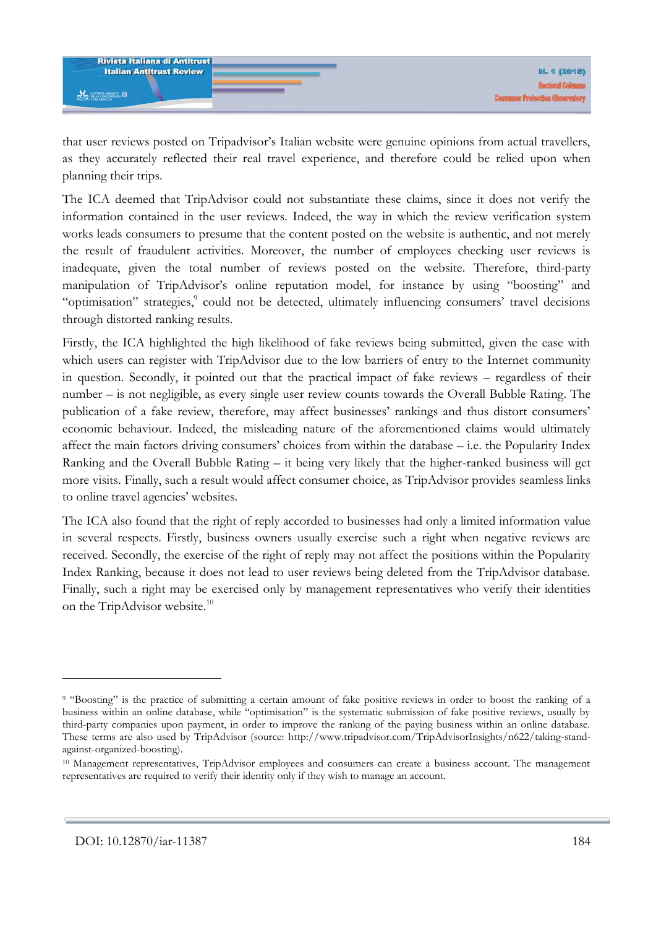

that user reviews posted on Tripadvisor's Italian website were genuine opinions from actual travellers, as they accurately reflected their real travel experience, and therefore could be relied upon when planning their trips.

The ICA deemed that TripAdvisor could not substantiate these claims, since it does not verify the information contained in the user reviews. Indeed, the way in which the review verification system works leads consumers to presume that the content posted on the website is authentic, and not merely the result of fraudulent activities. Moreover, the number of employees checking user reviews is inadequate, given the total number of reviews posted on the website. Therefore, third-party manipulation of TripAdvisor's online reputation model, for instance by using "boosting" and "optimisation" strategies,<sup>9</sup> could not be detected, ultimately influencing consumers' travel decisions through distorted ranking results.

Firstly, the ICA highlighted the high likelihood of fake reviews being submitted, given the ease with which users can register with TripAdvisor due to the low barriers of entry to the Internet community in question. Secondly, it pointed out that the practical impact of fake reviews – regardless of their number – is not negligible, as every single user review counts towards the Overall Bubble Rating. The publication of a fake review, therefore, may affect businesses' rankings and thus distort consumers' economic behaviour. Indeed, the misleading nature of the aforementioned claims would ultimately affect the main factors driving consumers' choices from within the database – i.e. the Popularity Index Ranking and the Overall Bubble Rating – it being very likely that the higher-ranked business will get more visits. Finally, such a result would affect consumer choice, as TripAdvisor provides seamless links to online travel agencies' websites.

The ICA also found that the right of reply accorded to businesses had only a limited information value in several respects. Firstly, business owners usually exercise such a right when negative reviews are received. Secondly, the exercise of the right of reply may not affect the positions within the Popularity Index Ranking, because it does not lead to user reviews being deleted from the TripAdvisor database. Finally, such a right may be exercised only by management representatives who verify their identities on the TripAdvisor website.<sup>10</sup>

<sup>9</sup> "Boosting" is the practice of submitting a certain amount of fake positive reviews in order to boost the ranking of a business within an online database, while "optimisation" is the systematic submission of fake positive reviews, usually by third-party companies upon payment, in order to improve the ranking of the paying business within an online database. These terms are also used by TripAdvisor (source: [http://www.tripadvisor.com/TripAdvisorInsights/n622/taking-stand](http://www.tripadvisor.com/TripAdvisorInsights/n622/taking-stand-against-organized-boosting)[against-organized-boosting\)](http://www.tripadvisor.com/TripAdvisorInsights/n622/taking-stand-against-organized-boosting).

<sup>&</sup>lt;sup>10</sup> Management representatives, TripAdvisor employees and consumers can create a business account. The management representatives are required to verify their identity only if they wish to manage an account.